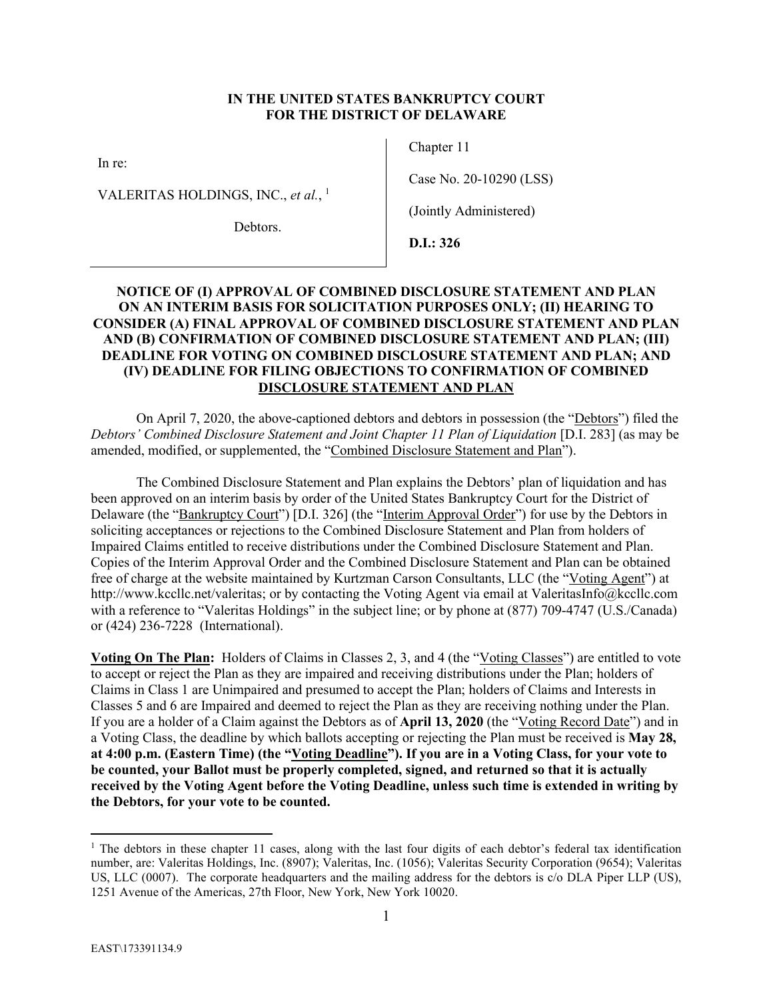# **IN THE UNITED STATES BANKRUPTCY COURT FOR THE DISTRICT OF DELAWARE**

In re:

VALERITAS HOLDINGS, INC., *et al.*, 1

Debtors.

Chapter 11

Case No. 20-10290 (LSS)

(Jointly Administered)

**D.I.: 326** 

# **NOTICE OF (I) APPROVAL OF COMBINED DISCLOSURE STATEMENT AND PLAN ON AN INTERIM BASIS FOR SOLICITATION PURPOSES ONLY; (II) HEARING TO CONSIDER (A) FINAL APPROVAL OF COMBINED DISCLOSURE STATEMENT AND PLAN AND (B) CONFIRMATION OF COMBINED DISCLOSURE STATEMENT AND PLAN; (III) DEADLINE FOR VOTING ON COMBINED DISCLOSURE STATEMENT AND PLAN; AND (IV) DEADLINE FOR FILING OBJECTIONS TO CONFIRMATION OF COMBINED DISCLOSURE STATEMENT AND PLAN**

On April 7, 2020, the above-captioned debtors and debtors in possession (the "Debtors") filed the *Debtors' Combined Disclosure Statement and Joint Chapter 11 Plan of Liquidation [D.I. 283] (as may be* amended, modified, or supplemented, the "Combined Disclosure Statement and Plan").

The Combined Disclosure Statement and Plan explains the Debtors' plan of liquidation and has been approved on an interim basis by order of the United States Bankruptcy Court for the District of Delaware (the "Bankruptcy Court") [D.I. 326] (the "Interim Approval Order") for use by the Debtors in soliciting acceptances or rejections to the Combined Disclosure Statement and Plan from holders of Impaired Claims entitled to receive distributions under the Combined Disclosure Statement and Plan. Copies of the Interim Approval Order and the Combined Disclosure Statement and Plan can be obtained free of charge at the website maintained by Kurtzman Carson Consultants, LLC (the "Voting Agent") at http://www.kccllc.net/valeritas; or by contacting the Voting Agent via email at ValeritasInfo@kccllc.com with a reference to "Valeritas Holdings" in the subject line; or by phone at  $(877)$  709-4747 (U.S./Canada) or (424) 236-7228 (International).

Voting On The Plan: Holders of Claims in Classes 2, 3, and 4 (the "Voting Classes") are entitled to vote to accept or reject the Plan as they are impaired and receiving distributions under the Plan; holders of Claims in Class 1 are Unimpaired and presumed to accept the Plan; holders of Claims and Interests in Classes 5 and 6 are Impaired and deemed to reject the Plan as they are receiving nothing under the Plan. If you are a holder of a Claim against the Debtors as of **April 13, 2020** (the "Voting Record Date") and in a Voting Class, the deadline by which ballots accepting or rejecting the Plan must be received is **May 28, at 4:00 p.m. (Eastern Time) (the "Voting Deadline"). If you are in a Voting Class, for your vote to be counted, your Ballot must be properly completed, signed, and returned so that it is actually received by the Voting Agent before the Voting Deadline, unless such time is extended in writing by the Debtors, for your vote to be counted.** 

<sup>&</sup>lt;sup>1</sup> The debtors in these chapter 11 cases, along with the last four digits of each debtor's federal tax identification number, are: Valeritas Holdings, Inc. (8907); Valeritas, Inc. (1056); Valeritas Security Corporation (9654); Valeritas US, LLC (0007). The corporate headquarters and the mailing address for the debtors is c/o DLA Piper LLP (US), 1251 Avenue of the Americas, 27th Floor, New York, New York 10020.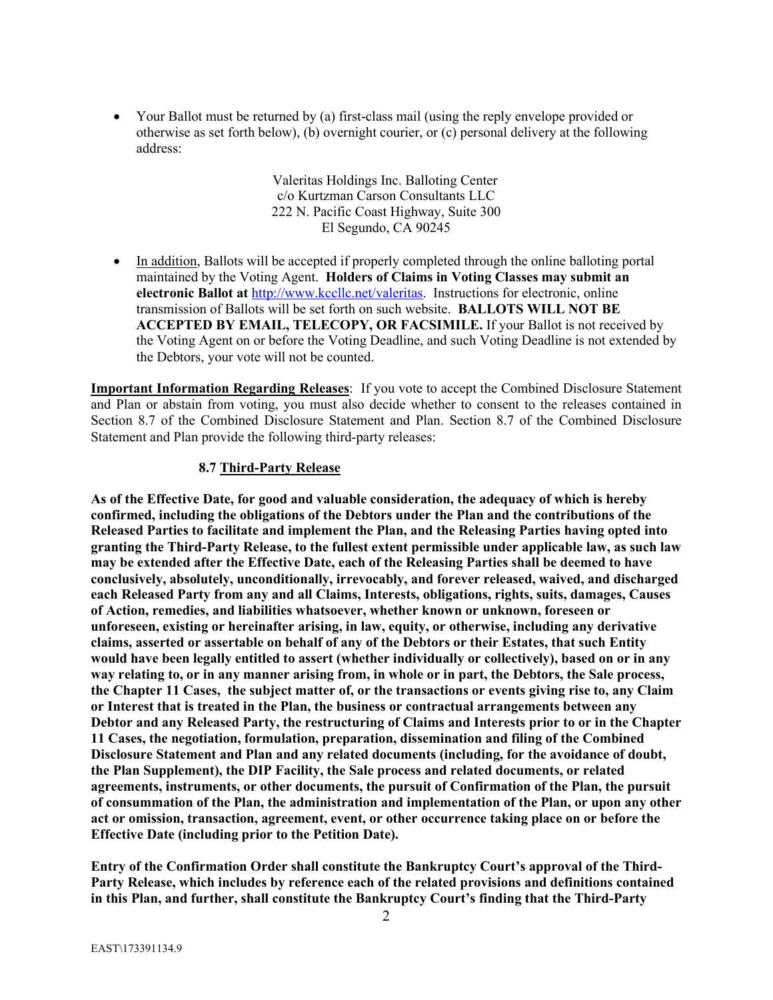Your Ballot must be returned by (a) first-class mail (using the reply envelope provided or otherwise as set forth below), (b) overnight courier, or (c) personal delivery at the following address:

> Valeritas Holdings Inc. Balloting Center c/o Kurtzman Carson Consultants LLC 222 N. Pacific Coast Highway, Suite 300 El Segundo, CA 90245

• In addition, Ballots will be accepted if properly completed through the online balloting portal maintained by the Voting Agent. **Holders of Claims in Voting Classes may submit an electronic Ballot at** http://www.kccllc.net/valeritas. Instructions for electronic, online transmission of Ballots will be set forth on such website. **BALLOTS WILL NOT BE ACCEPTED BY EMAIL, TELECOPY, OR FACSIMILE.** If your Ballot is not received by the Voting Agent on or before the Voting Deadline, and such Voting Deadline is not extended by the Debtors, your vote will not be counted.

**Important Information Regarding Releases**: If you vote to accept the Combined Disclosure Statement and Plan or abstain from voting, you must also decide whether to consent to the releases contained in Section 8.7 of the Combined Disclosure Statement and Plan. Section 8.7 of the Combined Disclosure Statement and Plan provide the following third-party releases:

# **8.7 Third-Party Release**

**As of the Effective Date, for good and valuable consideration, the adequacy of which is hereby confirmed, including the obligations of the Debtors under the Plan and the contributions of the Released Parties to facilitate and implement the Plan, and the Releasing Parties having opted into granting the Third-Party Release, to the fullest extent permissible under applicable law, as such law may be extended after the Effective Date, each of the Releasing Parties shall be deemed to have conclusively, absolutely, unconditionally, irrevocably, and forever released, waived, and discharged each Released Party from any and all Claims, Interests, obligations, rights, suits, damages, Causes of Action, remedies, and liabilities whatsoever, whether known or unknown, foreseen or unforeseen, existing or hereinafter arising, in law, equity, or otherwise, including any derivative claims, asserted or assertable on behalf of any of the Debtors or their Estates, that such Entity would have been legally entitled to assert (whether individually or collectively), based on or in any way relating to, or in any manner arising from, in whole or in part, the Debtors, the Sale process, the Chapter 11 Cases, the subject matter of, or the transactions or events giving rise to, any Claim or Interest that is treated in the Plan, the business or contractual arrangements between any Debtor and any Released Party, the restructuring of Claims and Interests prior to or in the Chapter 11 Cases, the negotiation, formulation, preparation, dissemination and filing of the Combined Disclosure Statement and Plan and any related documents (including, for the avoidance of doubt, the Plan Supplement), the DIP Facility, the Sale process and related documents, or related agreements, instruments, or other documents, the pursuit of Confirmation of the Plan, the pursuit of consummation of the Plan, the administration and implementation of the Plan, or upon any other act or omission, transaction, agreement, event, or other occurrence taking place on or before the Effective Date (including prior to the Petition Date).** 

**Entry of the Confirmation Order shall constitute the Bankruptcy Court's approval of the Third-Party Release, which includes by reference each of the related provisions and definitions contained in this Plan, and further, shall constitute the Bankruptcy Court's finding that the Third-Party**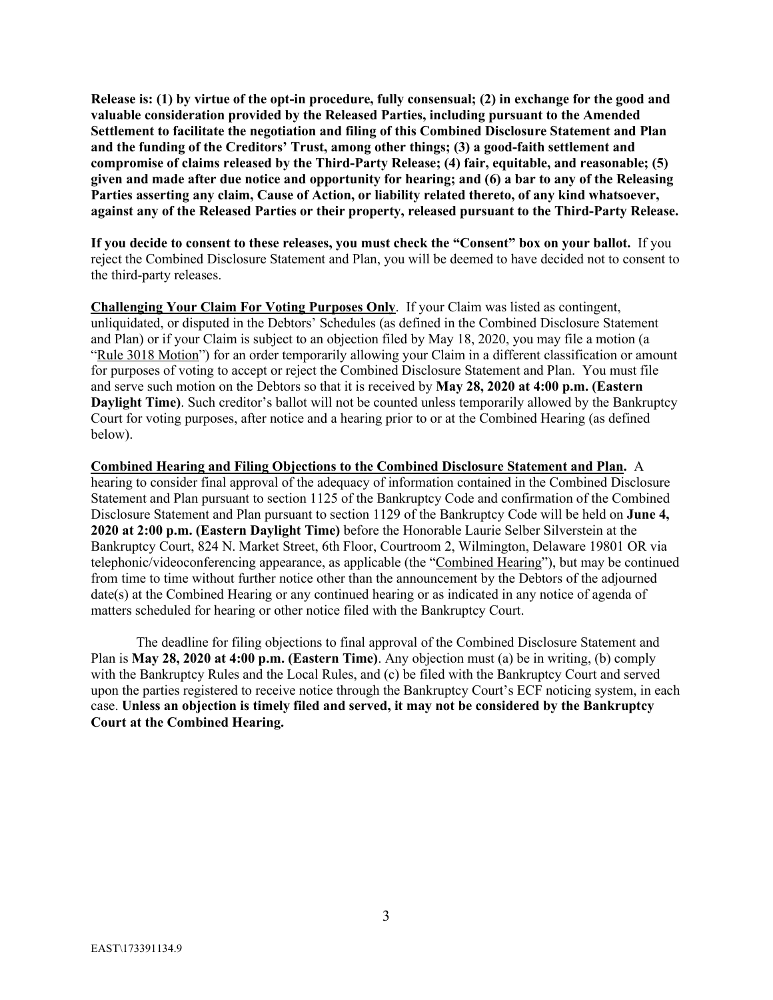**Release is: (1) by virtue of the opt-in procedure, fully consensual; (2) in exchange for the good and valuable consideration provided by the Released Parties, including pursuant to the Amended Settlement to facilitate the negotiation and filing of this Combined Disclosure Statement and Plan and the funding of the Creditors' Trust, among other things; (3) a good-faith settlement and compromise of claims released by the Third-Party Release; (4) fair, equitable, and reasonable; (5) given and made after due notice and opportunity for hearing; and (6) a bar to any of the Releasing Parties asserting any claim, Cause of Action, or liability related thereto, of any kind whatsoever, against any of the Released Parties or their property, released pursuant to the Third-Party Release.** 

**If you decide to consent to these releases, you must check the "Consent" box on your ballot.** If you reject the Combined Disclosure Statement and Plan, you will be deemed to have decided not to consent to the third-party releases.

**Challenging Your Claim For Voting Purposes Only**. If your Claim was listed as contingent, unliquidated, or disputed in the Debtors' Schedules (as defined in the Combined Disclosure Statement and Plan) or if your Claim is subject to an objection filed by May 18, 2020, you may file a motion (a "Rule 3018 Motion") for an order temporarily allowing your Claim in a different classification or amount for purposes of voting to accept or reject the Combined Disclosure Statement and Plan. You must file and serve such motion on the Debtors so that it is received by **May 28, 2020 at 4:00 p.m. (Eastern Daylight Time)**. Such creditor's ballot will not be counted unless temporarily allowed by the Bankruptcy Court for voting purposes, after notice and a hearing prior to or at the Combined Hearing (as defined below).

**Combined Hearing and Filing Objections to the Combined Disclosure Statement and Plan.** A hearing to consider final approval of the adequacy of information contained in the Combined Disclosure Statement and Plan pursuant to section 1125 of the Bankruptcy Code and confirmation of the Combined Disclosure Statement and Plan pursuant to section 1129 of the Bankruptcy Code will be held on **June 4, 2020 at 2:00 p.m. (Eastern Daylight Time)** before the Honorable Laurie Selber Silverstein at the Bankruptcy Court, 824 N. Market Street, 6th Floor, Courtroom 2, Wilmington, Delaware 19801 OR via telephonic/videoconferencing appearance, as applicable (the "Combined Hearing"), but may be continued from time to time without further notice other than the announcement by the Debtors of the adjourned date(s) at the Combined Hearing or any continued hearing or as indicated in any notice of agenda of matters scheduled for hearing or other notice filed with the Bankruptcy Court.

The deadline for filing objections to final approval of the Combined Disclosure Statement and Plan is **May 28, 2020 at 4:00 p.m. (Eastern Time)**. Any objection must (a) be in writing, (b) comply with the Bankruptcy Rules and the Local Rules, and (c) be filed with the Bankruptcy Court and served upon the parties registered to receive notice through the Bankruptcy Court's ECF noticing system, in each case. **Unless an objection is timely filed and served, it may not be considered by the Bankruptcy Court at the Combined Hearing.**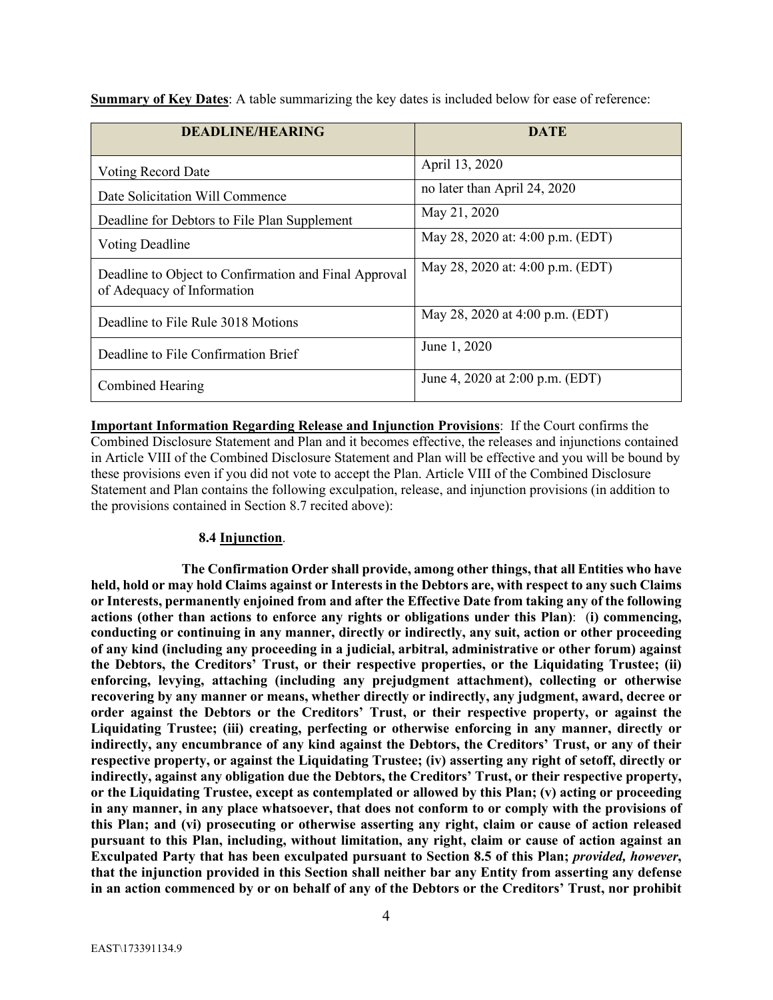| <b>DEADLINE/HEARING</b>                                                             | <b>DATE</b>                      |
|-------------------------------------------------------------------------------------|----------------------------------|
| Voting Record Date                                                                  | April 13, 2020                   |
| Date Solicitation Will Commence                                                     | no later than April 24, 2020     |
| Deadline for Debtors to File Plan Supplement                                        | May 21, 2020                     |
| Voting Deadline                                                                     | May 28, 2020 at: 4:00 p.m. (EDT) |
| Deadline to Object to Confirmation and Final Approval<br>of Adequacy of Information | May 28, 2020 at: 4:00 p.m. (EDT) |
| Deadline to File Rule 3018 Motions                                                  | May 28, 2020 at 4:00 p.m. (EDT)  |
| Deadline to File Confirmation Brief                                                 | June 1, 2020                     |
| Combined Hearing                                                                    | June 4, 2020 at 2:00 p.m. (EDT)  |

**Summary of Key Dates**: A table summarizing the key dates is included below for ease of reference:

**Important Information Regarding Release and Injunction Provisions**: If the Court confirms the Combined Disclosure Statement and Plan and it becomes effective, the releases and injunctions contained in Article VIII of the Combined Disclosure Statement and Plan will be effective and you will be bound by these provisions even if you did not vote to accept the Plan. Article VIII of the Combined Disclosure Statement and Plan contains the following exculpation, release, and injunction provisions (in addition to the provisions contained in Section 8.7 recited above):

## **8.4 Injunction**.

**The Confirmation Order shall provide, among other things, that all Entities who have held, hold or may hold Claims against or Interests in the Debtors are, with respect to any such Claims or Interests, permanently enjoined from and after the Effective Date from taking any of the following actions (other than actions to enforce any rights or obligations under this Plan)**: (**i) commencing, conducting or continuing in any manner, directly or indirectly, any suit, action or other proceeding of any kind (including any proceeding in a judicial, arbitral, administrative or other forum) against the Debtors, the Creditors' Trust, or their respective properties, or the Liquidating Trustee; (ii) enforcing, levying, attaching (including any prejudgment attachment), collecting or otherwise recovering by any manner or means, whether directly or indirectly, any judgment, award, decree or order against the Debtors or the Creditors' Trust, or their respective property, or against the Liquidating Trustee; (iii) creating, perfecting or otherwise enforcing in any manner, directly or indirectly, any encumbrance of any kind against the Debtors, the Creditors' Trust, or any of their respective property, or against the Liquidating Trustee; (iv) asserting any right of setoff, directly or indirectly, against any obligation due the Debtors, the Creditors' Trust, or their respective property, or the Liquidating Trustee, except as contemplated or allowed by this Plan; (v) acting or proceeding in any manner, in any place whatsoever, that does not conform to or comply with the provisions of this Plan; and (vi) prosecuting or otherwise asserting any right, claim or cause of action released pursuant to this Plan, including, without limitation, any right, claim or cause of action against an Exculpated Party that has been exculpated pursuant to Section 8.5 of this Plan;** *provided, however***, that the injunction provided in this Section shall neither bar any Entity from asserting any defense in an action commenced by or on behalf of any of the Debtors or the Creditors' Trust, nor prohibit**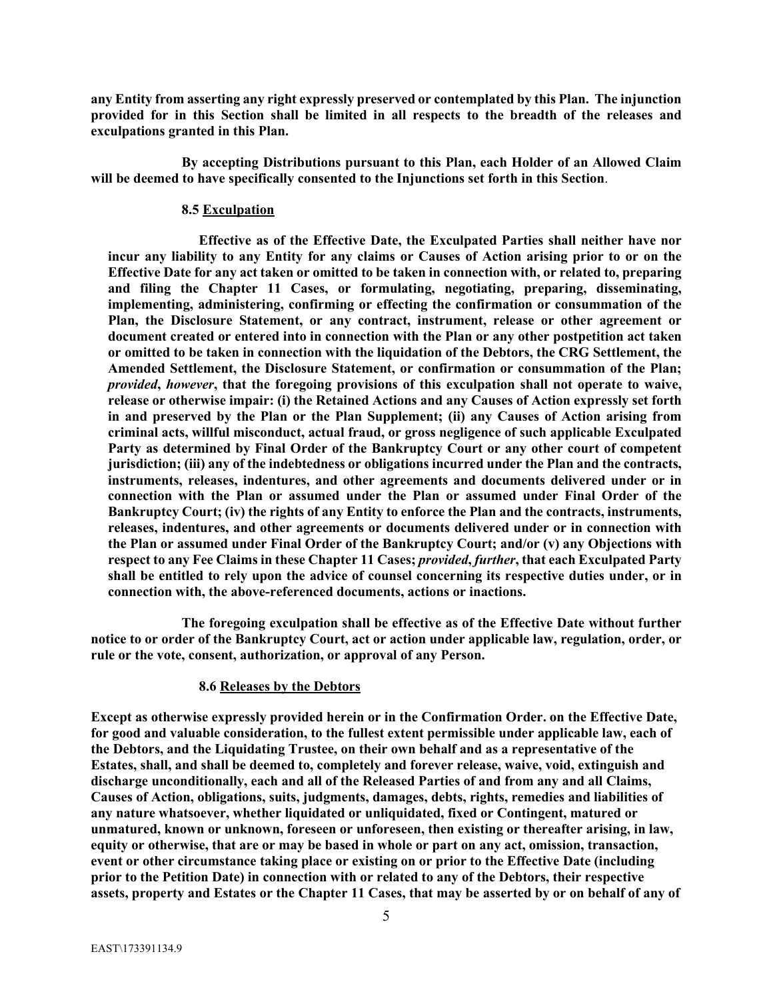**any Entity from asserting any right expressly preserved or contemplated by this Plan. The injunction provided for in this Section shall be limited in all respects to the breadth of the releases and exculpations granted in this Plan.** 

**By accepting Distributions pursuant to this Plan, each Holder of an Allowed Claim will be deemed to have specifically consented to the Injunctions set forth in this Section**.

### **8.5 Exculpation**

**Effective as of the Effective Date, the Exculpated Parties shall neither have nor incur any liability to any Entity for any claims or Causes of Action arising prior to or on the Effective Date for any act taken or omitted to be taken in connection with, or related to, preparing and filing the Chapter 11 Cases, or formulating, negotiating, preparing, disseminating, implementing, administering, confirming or effecting the confirmation or consummation of the Plan, the Disclosure Statement, or any contract, instrument, release or other agreement or document created or entered into in connection with the Plan or any other postpetition act taken or omitted to be taken in connection with the liquidation of the Debtors, the CRG Settlement, the Amended Settlement, the Disclosure Statement, or confirmation or consummation of the Plan;**  *provided***,** *however***, that the foregoing provisions of this exculpation shall not operate to waive, release or otherwise impair: (i) the Retained Actions and any Causes of Action expressly set forth in and preserved by the Plan or the Plan Supplement; (ii) any Causes of Action arising from criminal acts, willful misconduct, actual fraud, or gross negligence of such applicable Exculpated Party as determined by Final Order of the Bankruptcy Court or any other court of competent jurisdiction; (iii) any of the indebtedness or obligations incurred under the Plan and the contracts, instruments, releases, indentures, and other agreements and documents delivered under or in connection with the Plan or assumed under the Plan or assumed under Final Order of the Bankruptcy Court; (iv) the rights of any Entity to enforce the Plan and the contracts, instruments, releases, indentures, and other agreements or documents delivered under or in connection with the Plan or assumed under Final Order of the Bankruptcy Court; and/or (v) any Objections with respect to any Fee Claims in these Chapter 11 Cases;** *provided***,** *further***, that each Exculpated Party shall be entitled to rely upon the advice of counsel concerning its respective duties under, or in connection with, the above-referenced documents, actions or inactions.** 

**The foregoing exculpation shall be effective as of the Effective Date without further notice to or order of the Bankruptcy Court, act or action under applicable law, regulation, order, or rule or the vote, consent, authorization, or approval of any Person.** 

## **8.6 Releases by the Debtors**

**Except as otherwise expressly provided herein or in the Confirmation Order. on the Effective Date, for good and valuable consideration, to the fullest extent permissible under applicable law, each of the Debtors, and the Liquidating Trustee, on their own behalf and as a representative of the Estates, shall, and shall be deemed to, completely and forever release, waive, void, extinguish and discharge unconditionally, each and all of the Released Parties of and from any and all Claims, Causes of Action, obligations, suits, judgments, damages, debts, rights, remedies and liabilities of any nature whatsoever, whether liquidated or unliquidated, fixed or Contingent, matured or unmatured, known or unknown, foreseen or unforeseen, then existing or thereafter arising, in law, equity or otherwise, that are or may be based in whole or part on any act, omission, transaction, event or other circumstance taking place or existing on or prior to the Effective Date (including prior to the Petition Date) in connection with or related to any of the Debtors, their respective assets, property and Estates or the Chapter 11 Cases, that may be asserted by or on behalf of any of**